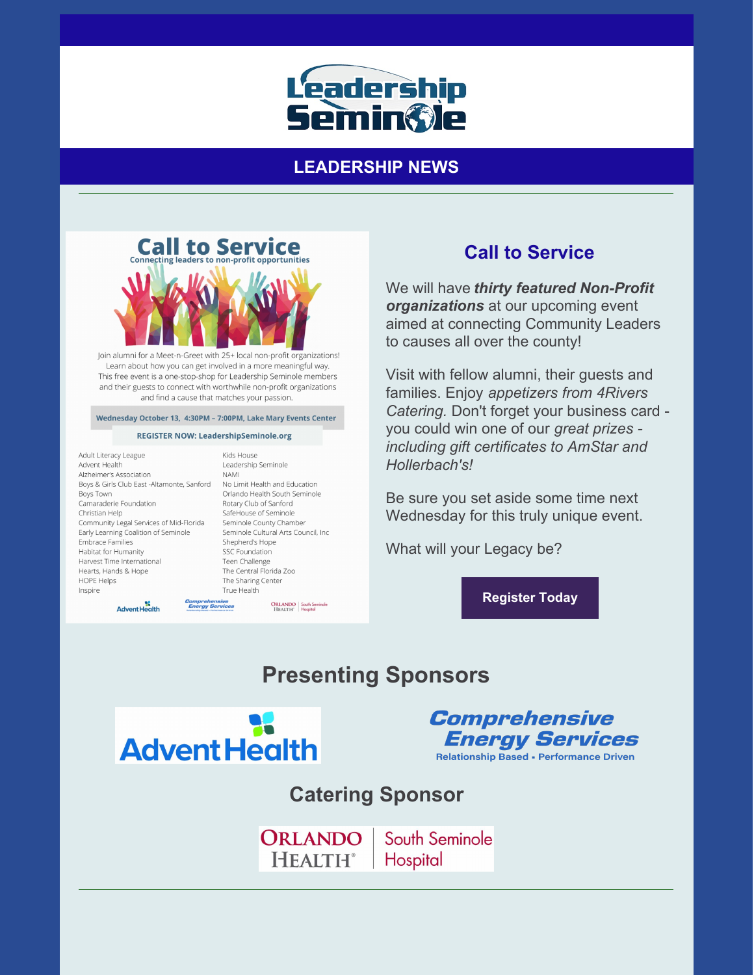

## **LEADERSHIP NEWS**



Join alumni for a Meet-n-Greet with 25+ local non-profit organizations! Learn about how you can get involved in a more meaningful way. This free event is a one-stop-shop for Leadership Seminole members and their guests to connect with worthwhile non-profit organizations and find a cause that matches your passion.

#### Wednesday October 13, 4:30PM - 7:00PM, Lake Mary Events Center

#### **REGISTER NOW: LeadershipSeminole.org**

Adult Literacy League Advent Health Alzheimer's Association Boys & Girls Club East -Altamonte, Sanford No Limit Health and Education Boys Town Camaraderie Foundation Christian Help Community Legal Services of Mid-Florida Early Learning Coalition of Seminole Embrace Families Habitat for Humanity Harvest Time International Hearts, Hands & Hope HOPE Helps Inspire

ag<br>Advent Health

Kids House Leadership Seminole **NAMI** Orlando Health South Seminole Rotary Club of Sanford SafeHouse of Seminole Seminole County Chamber Seminole Cultural Arts Council, Inc Shepherd's Hope SSC Foundation Teen Challenge The Central Florida Zoo The Sharing Center True Health **ORLANDO** South Seminole<br>
HEALTH' Hospital

## **Call to Service**

We will have *thirty featured Non-Profit organizations* at our upcoming event aimed at connecting Community Leaders to causes all over the county!

Visit with fellow alumni, their guests and families. Enjoy *appetizers from 4Rivers Catering.* Don't forget your business card you could win one of our *great prizes including gift certificates to AmStar and Hollerbach's!*

Be sure you set aside some time next Wednesday for this truly unique event.

What will your Legacy be?

**[Register](https://leadershipseminole.org/event/call-to-service/) Today**

# **Presenting Sponsors**





# **Catering Sponsor**

ORLANDO South Seminole **HEALTH**<sup>®</sup> Hospital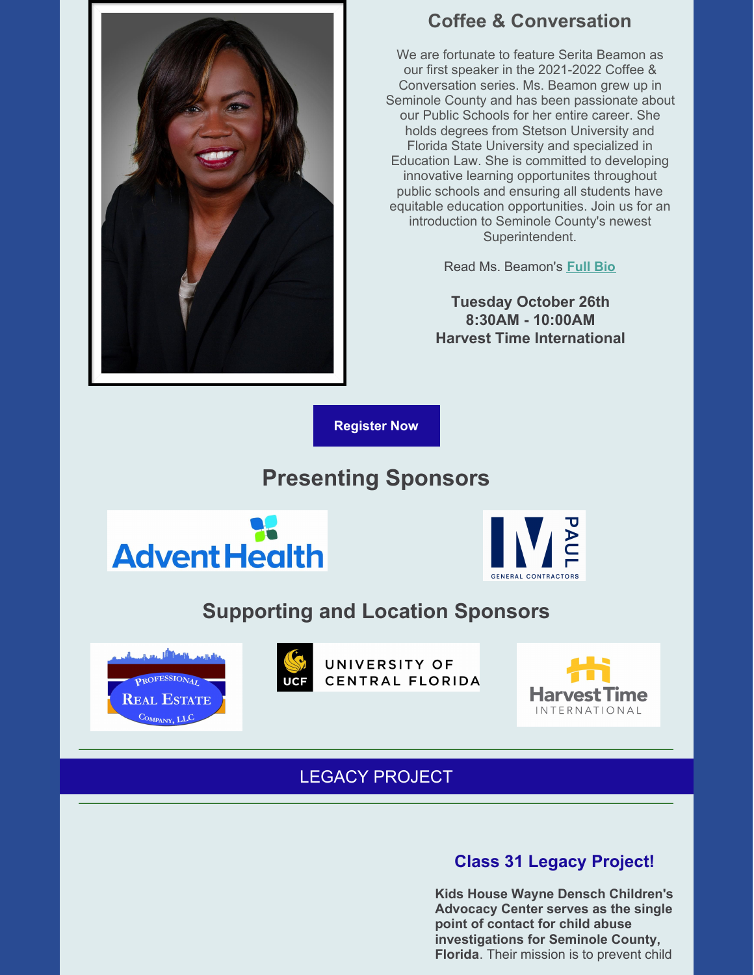

## **Coffee & Conversation**

We are fortunate to feature Serita Beamon as our first speaker in the 2021-2022 Coffee & Conversation series. Ms. Beamon grew up in Seminole County and has been passionate about our Public Schools for her entire career. She holds degrees from Stetson University and Florida State University and specialized in Education Law. She is committed to developing innovative learning opportunites throughout public schools and ensuring all students have equitable education opportunities. Join us for an introduction to Seminole County's newest Superintendent.

Read Ms. Beamon's **[Full](https://files.constantcontact.com/206c3f27be/7f0cc68b-44ee-4c3a-8a24-2a2d502ad38a.pdf) Bio**

**Tuesday October 26th 8:30AM - 10:00AM Harvest Time International**

**[Register](https://leadershipseminole.org/event/coffee-conversation/) Now**

# **Presenting Sponsors**





# **Supporting and Location Sponsors**





UNIVERSITY OF CENTRAL FLORIDA



# LEGACY PROJECT

## **Class 31 Legacy Project!**

**Kids House Wayne Densch Children's Advocacy Center serves as the single point of contact for child abuse investigations for Seminole County, Florida**. Their mission is to prevent child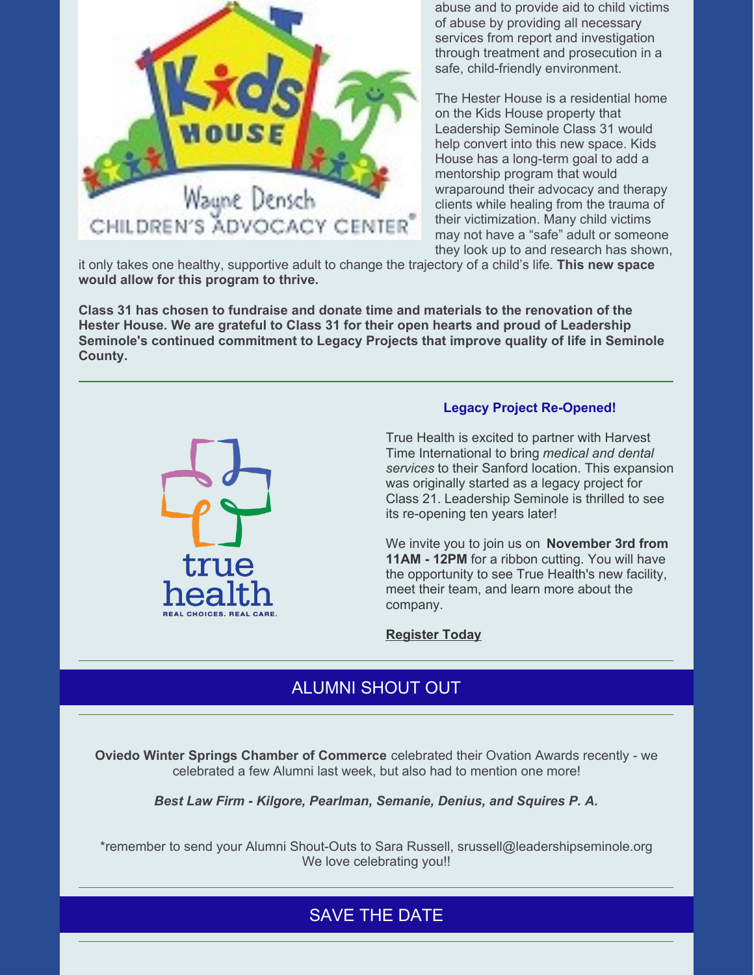

abuse and to provide aid to child victims of abuse by providing all necessary services from report and investigation through treatment and prosecution in a safe, child-friendly environment.

The Hester House is a residential home on the Kids House property that Leadership Seminole Class 31 would help convert into this new space. Kids House has a long-term goal to add a mentorship program that would wraparound their advocacy and therapy clients while healing from the trauma of their victimization. Many child victims may not have a "safe" adult or someone they look up to and research has shown,

it only takes one healthy, supportive adult to change the trajectory of a child's life. **This new space would allow for this program to thrive.**

**Class 31 has chosen to fundraise and donate time and materials to the renovation of the Hester House. We are grateful to Class 31 for their open hearts and proud of Leadership Seminole's continued commitment to Legacy Projects that improve quality of life in Seminole County.**



#### **Legacy Project Re-Opened!**

True Health is excited to partner with Harvest Time International to bring *medical and dental services* to their Sanford location. This expansion was originally started as a legacy project for Class 21. Leadership Seminole is thrilled to see its re-opening ten years later!

We invite you to join us on **November 3rd from 11AM - 12PM** for a ribbon cutting. You will have the opportunity to see True Health's new facility, meet their team, and learn more about the company.

**[Register](https://business.seminolebusiness.org/events/details/true-health-grand-opening-ribbon-cutting-ceremony-25616) Today**

## ALUMNI SHOUT OUT

**Oviedo Winter Springs Chamber of Commerce** celebrated their Ovation Awards recently - we celebrated a few Alumni last week, but also had to mention one more!

*Best Law Firm - Kilgore, Pearlman, Semanie, Denius, and Squires P. A.*

\*remember to send your Alumni Shout-Outs to Sara Russell, srussell@leadershipseminole.org We love celebrating you!!

## SAVE THE DATE